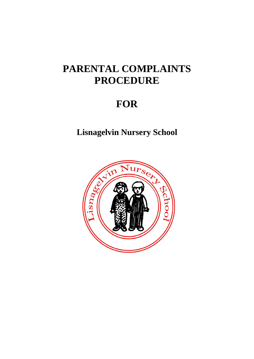# **PARENTAL COMPLAINTS PROCEDURE**

# **FOR**

**Lisnagelvin Nursery School**

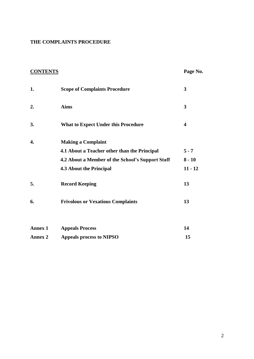# **THE COMPLAINTS PROCEDURE**

| <b>CONTENTS</b> |                                                  | Page No.  |
|-----------------|--------------------------------------------------|-----------|
| 1.              | <b>Scope of Complaints Procedure</b>             | 3         |
| 2.              | <b>Aims</b>                                      | 3         |
| 3.              | <b>What to Expect Under this Procedure</b>       | 4         |
| 4.              | <b>Making a Complaint</b>                        |           |
|                 | 4.1 About a Teacher other than the Principal     | $5 - 7$   |
|                 | 4.2 About a Member of the School's Support Staff | $8 - 10$  |
|                 | <b>4.3 About the Principal</b>                   | $11 - 12$ |
| 5.              | <b>Record Keeping</b>                            | 13        |
| 6.              | <b>Frivolous or Vexatious Complaints</b>         | 13        |
|                 |                                                  |           |
| <b>Annex 1</b>  | <b>Appeals Process</b>                           | 14        |
| <b>Annex 2</b>  | <b>Appeals process to NIPSO</b>                  | 15        |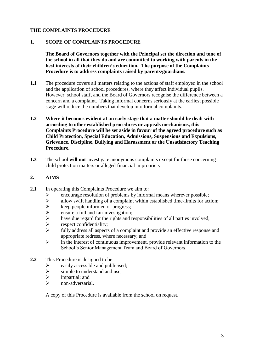## **THE COMPLAINTS PROCEDURE**

#### **1. SCOPE OF COMPLAINTS PROCEDURE**

**The Board of Governors together with the Principal set the direction and tone of the school in all that they do and are committed to working with parents in the best interests of their children's education. The purpose of the Complaints Procedure is to address complaints raised by parents/guardians.** 

- **1.1** The procedure covers all matters relating to the actions of staff employed in the school and the application of school procedures, where they affect individual pupils. However, school staff, and the Board of Governors recognise the difference between a concern and a complaint. Taking informal concerns seriously at the earliest possible stage will reduce the numbers that develop into formal complaints.
- **1.2 Where it becomes evident at an early stage that a matter should be dealt with according to other established procedures or appeals mechanisms, this Complaints Procedure will be set aside in favour of the agreed procedure such as Child Protection, Special Education, Admissions, Suspensions and Expulsions, Grievance, Discipline, Bullying and Harassment or the Unsatisfactory Teaching Procedure.**
- **1.3** The school **will not** investigate anonymous complaints except for those concerning child protection matters or alleged financial impropriety.

## **2. AIMS**

- 2.1 In operating this Complaints Procedure we aim to:
	- Example 1 and the problems by informal means wherever possible;<br>  $\geq$  allow swift handling of a complaint within established time-limits for act
	- $\geq$  allow swift handling of a complaint within established time-limits for action;<br> $\geq$  keep people informed of progress;
	- $\geq$  keep people informed of progress;<br> $\geq$  ensure a full and fair investigation:
	- $\geq$  ensure a full and fair investigation;<br> $\geq$  have due regard for the rights and re
	- have due regard for the rights and responsibilities of all parties involved;
	- $\triangleright$  respect confidentiality;
	- $\triangleright$  fully address all aspects of a complaint and provide an effective response and appropriate redress, where necessary; and
	- $\triangleright$  in the interest of continuous improvement, provide relevant information to the School's Senior Management Team and Board of Governors.
- **2.2** This Procedure is designed to be:
	- $\geq$  easily accessible and publicised;<br> $\geq$  simple to understand and use:
	- simple to understand and use;
	- $\triangleright$  impartial; and
	- non-adversarial.

A copy of this Procedure is available from the school on request.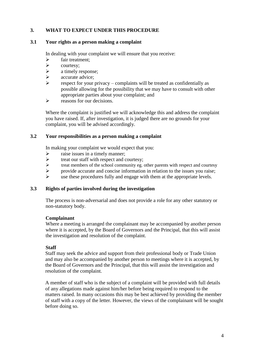# **3. WHAT TO EXPECT UNDER THIS PROCEDURE**

#### **3.1 Your rights as a person making a complaint**

In dealing with your complaint we will ensure that you receive:

- $\triangleright$  fair treatment;<br> $\triangleright$  courtesy;
- courtesy;
- $\triangleright$  a timely response;
- $\triangleright$  accurate advice;<br> $\triangleright$  espect for your
- respect for your privacy complaints will be treated as confidentially as possible allowing for the possibility that we may have to consult with other appropriate parties about your complaint; and
- $\triangleright$  reasons for our decisions.

Where the complaint is justified we will acknowledge this and address the complaint you have raised. If, after investigation, it is judged there are no grounds for your complaint, you will be advised accordingly.

#### **3.2 Your responsibilities as a person making a complaint**

In making your complaint we would expect that you:

- $\triangleright$  raise issues in a timely manner;
- treat our staff with respect and courtesy;
- $\triangleright$  treat members of the school community eg. other parents with respect and courtesy<br>provide accurate and concise information in relation to the issues you raise:
- provide accurate and concise information in relation to the issues you raise;<br>  $\triangleright$  are these procedures fully and engage with them at the appropriate levels
- use these procedures fully and engage with them at the appropriate levels.

#### **3.3 Rights of parties involved during the investigation**

The process is non-adversarial and does not provide a role for any other statutory or non-statutory body.

#### **Complainant**

Where a meeting is arranged the complainant may be accompanied by another person where it is accepted, by the Board of Governors and the Principal, that this will assist the investigation and resolution of the complaint.

#### **Staff**

Staff may seek the advice and support from their professional body or Trade Union and may also be accompanied by another person to meetings where it is accepted, by the Board of Governors and the Principal, that this will assist the investigation and resolution of the complaint.

A member of staff who is the subject of a complaint will be provided with full details of any allegations made against him/her before being required to respond to the matters raised. In many occasions this may be best achieved by providing the member of staff with a copy of the letter. However, the views of the complainant will be sought before doing so.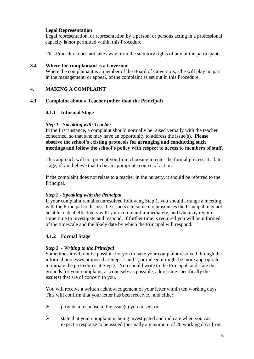# **Legal Representation**

Legal representation, or representation by a person, or persons acting in a professional capacity **is not** permitted within this Procedure.

This Procedure does not take away from the statutory rights of any of the participants.

#### **3.4 Where the complainant is a Governor**

Where the complainant is a member of the Board of Governors, s/he will play no part in the management, or appeal, of the complaint as set out in this Procedure.

#### **4. MAKING A COMPLAINT**

#### **4.1 Complaint about a Teacher (other than the Principal)**

#### **4.1.1 Informal Stage**

#### *Step 1 - Speaking with Teacher*

In the first instance, a complaint should normally be raised verbally with the teacher concerned, so that s/he may have an opportunity to address the issue(s). **Please observe the school's existing protocols for arranging and conducting such meetings and follow the school's policy with respect to access to members of staff.** 

This approach will not prevent you from choosing to enter the formal process at a later stage, if you believe that to be an appropriate course of action.

If the complaint does not relate to a teacher in the nursery, it should be referred to the Principal.

#### *Step 2 - Speaking with the Principal*

If your complaint remains unresolved following Step 1, you should arrange a meeting with the Principal to discuss the issue(s). In some circumstances the Principal may not be able to deal effectively with your complaint immediately, and s/he may require some time to investigate and respond. If further time is required you will be informed of the timescale and the likely date by which the Principal will respond.

# **4.1.2 Formal Stage**

#### *Step 3 - Writing to the Principal*

Sometimes it will not be possible for you to have your complaint resolved through the informal processes proposed at Steps 1 and 2, or indeed it might be more appropriate to initiate the procedures at Step 3. You should write to the Principal, and state the grounds for your complaint, as concisely as possible, addressing specifically the issue(s) that are of concern to you.

You will receive a written acknowledgement of your letter within ten working days. This will confirm that your letter has been received, and either:

- $\triangleright$  provide a response to the issue(s) you raised; or
- $\triangleright$  state that your complaint is being investigated and indicate when you can expect a response to be issued (normally a maximum of 20 working days from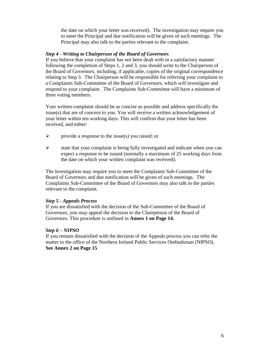the date on which your letter was received). The investigation may require you to meet the Principal and due notification will be given of such meetings. The Principal may also talk to the parties relevant to the complaint.

#### *Step 4 - Writing to Chairperson of the Board of Governors*

If you believe that your complaint has not been dealt with in a satisfactory manner following the completion of Steps 1, 2 and 3, you should write to the Chairperson of the Board of Governors, including, if applicable, copies of the original correspondence relating to Step 3. The Chairperson will be responsible for referring your complaint to a Complaints Sub-Committee of the Board of Governors, which will investigate and respond to your complaint. The Complaints Sub-Committee will have a minimum of three voting members.

Your written complaint should be as concise as possible and address specifically the issue(s) that are of concern to you. You will receive a written acknowledgement of your letter within ten working days. This will confirm that your letter has been received, and either:

- $\triangleright$  provide a response to the issue(s) you raised; or
- $\triangleright$  state that your complaint is being fully investigated and indicate when you can expect a response to be issued (normally a maximum of 25 working days from the date on which your written complaint was received).

The investigation may require you to meet the Complaints Sub-Committee of the Board of Governors and due notification will be given of such meetings. The Complaints Sub-Committee of the Board of Governors may also talk to the parties relevant to the complaint.

# *Step 5 - Appeals Process*

If you are dissatisfied with the decision of the Sub-Committee of the Board of Governors, you may appeal the decision to the Chairperson of the Board of Governors. This procedure is outlined in **Annex 1 on Page 14.**

#### *Step 6 – NIPSO*

If you remain dissatisfied with the decision of the Appeals process you can refer the matter to the office of the Northern Ireland Public Services Ombudsman (NIPSO). **See Annex 2 on Page 15**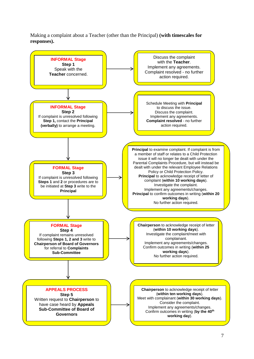Making a complaint about a Teacher (other than the Principal) **(with timescales for responses).**

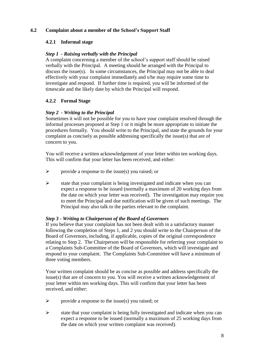# **4.2 Complaint about a member of the School's Support Staff**

# **4.2.1 Informal stage**

# *Step 1 - Raising verbally with the Principal*

A complaint concerning a member of the school's support staff should be raised verbally with the Principal. A meeting should be arranged with the Principal to discuss the issue(s). In some circumstances, the Principal may not be able to deal effectively with your complaint immediately and s/he may require some time to investigate and respond. If further time is required, you will be informed of the timescale and the likely date by which the Principal will respond.

# **4.2.2 Formal Stage**

# *Step 2 - Writing to the Principal*

Sometimes it will not be possible for you to have your complaint resolved through the informal processes proposed at Step 1 or it might be more appropriate to initiate the procedures formally. You should write to the Principal, and state the grounds for your complaint as concisely as possible addressing specifically the issue(s) that are of concern to you.

You will receive a written acknowledgement of your letter within ten working days. This will confirm that your letter has been received, and either:

- $\triangleright$  provide a response to the issue(s) you raised; or
- $\triangleright$  state that your complaint is being investigated and indicate when you can expect a response to be issued (normally a maximum of 20 working days from the date on which your letter was received). The investigation may require you to meet the Principal and due notification will be given of such meetings. The Principal may also talk to the parties relevant to the complaint.

# *Step 3 - Writing to Chairperson of the Board of Governors*

If you believe that your complaint has not been dealt with in a satisfactory manner following the completion of Steps 1, and 2 you should write to the Chairperson of the Board of Governors, including, if applicable, copies of the original correspondence relating to Step 2. The Chairperson will be responsible for referring your complaint to a Complaints Sub-Committee of the Board of Governors, which will investigate and respond to your complaint. The Complaints Sub-Committee will have a minimum of three voting members.

Your written complaint should be as concise as possible and address specifically the issue(s) that are of concern to you. You will receive a written acknowledgement of your letter within ten working days. This will confirm that your letter has been received, and either:

- $\triangleright$  provide a response to the issue(s) you raised; or
- $\triangleright$  state that your complaint is being fully investigated and indicate when you can expect a response to be issued (normally a maximum of 25 working days from the date on which your written complaint was received).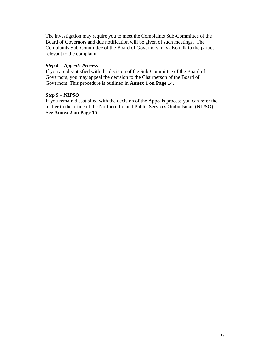The investigation may require you to meet the Complaints Sub-Committee of the Board of Governors and due notification will be given of such meetings. The Complaints Sub-Committee of the Board of Governors may also talk to the parties relevant to the complaint.

# *Step 4 - Appeals Process*

If you are dissatisfied with the decision of the Sub-Committee of the Board of Governors, you may appeal the decision to the Chairperson of the Board of Governors. This procedure is outlined in **Annex 1 on Page 14**.

#### *Step 5 – NIPSO*

If you remain dissatisfied with the decision of the Appeals process you can refer the matter to the office of the Northern Ireland Public Services Ombudsman (NIPSO). **See Annex 2 on Page 15**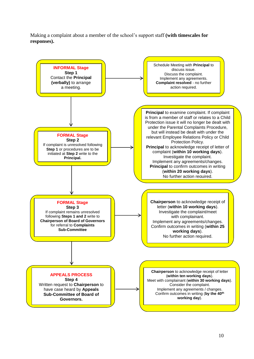Making a complaint about a member of the school's support staff **(with timescales for responses).**

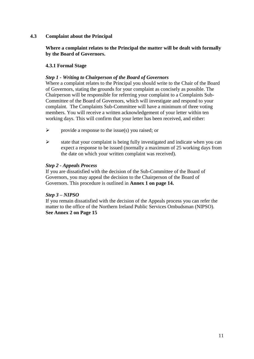# **4.3 Complaint about the Principal**

**Where a complaint relates to the Principal the matter will be dealt with formally by the Board of Governors.**

# **4.3.1 Formal Stage**

# *Step 1 - Writing to Chairperson of the Board of Governors*

Where a complaint relates to the Principal you should write to the Chair of the Board of Governors, stating the grounds for your complaint as concisely as possible. The Chairperson will be responsible for referring your complaint to a Complaints Sub-Committee of the Board of Governors, which will investigate and respond to your complaint. The Complaints Sub-Committee will have a minimum of three voting members. You will receive a written acknowledgement of your letter within ten working days. This will confirm that your letter has been received, and either:

- $\triangleright$  provide a response to the issue(s) you raised; or
- $\triangleright$  state that your complaint is being fully investigated and indicate when you can expect a response to be issued (normally a maximum of 25 working days from the date on which your written complaint was received).

# *Step 2 - Appeals Process*

If you are dissatisfied with the decision of the Sub-Committee of the Board of Governors, you may appeal the decision to the Chairperson of the Board of Governors. This procedure is outlined in **Annex 1 on page 14.**

# *Step 3 – NIPSO*

If you remain dissatisfied with the decision of the Appeals process you can refer the matter to the office of the Northern Ireland Public Services Ombudsman (NIPSO). **See Annex 2 on Page 15**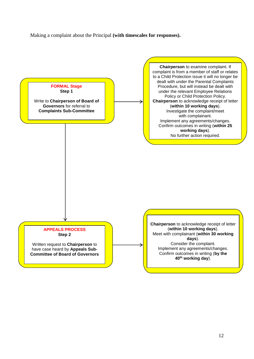Making a complaint about the Principal **(with timescales for responses).**

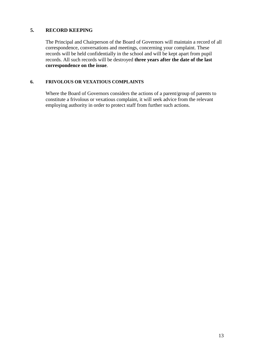# **5. RECORD KEEPING**

The Principal and Chairperson of the Board of Governors will maintain a record of all correspondence, conversations and meetings, concerning your complaint. These records will be held confidentially in the school and will be kept apart from pupil records. All such records will be destroyed **three years after the date of the last correspondence on the issue**.

#### **6. FRIVOLOUS OR VEXATIOUS COMPLAINTS**

Where the Board of Governors considers the actions of a parent/group of parents to constitute a frivolous or vexatious complaint, it will seek advice from the relevant employing authority in order to protect staff from further such actions.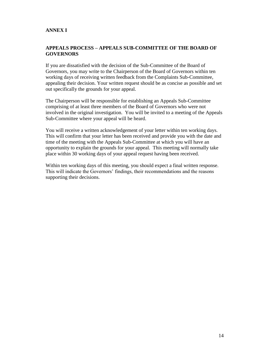# **ANNEX I**

#### **APPEALS PROCESS – APPEALS SUB-COMMITTEE OF THE BOARD OF GOVERNORS**

If you are dissatisfied with the decision of the Sub-Committee of the Board of Governors, you may write to the Chairperson of the Board of Governors within ten working days of receiving written feedback from the Complaints Sub-Committee, appealing their decision. Your written request should be as concise as possible and set out specifically the grounds for your appeal.

The Chairperson will be responsible for establishing an Appeals Sub-Committee comprising of at least three members of the Board of Governors who were not involved in the original investigation. You will be invited to a meeting of the Appeals Sub-Committee where your appeal will be heard.

You will receive a written acknowledgement of your letter within ten working days. This will confirm that your letter has been received and provide you with the date and time of the meeting with the Appeals Sub-Committee at which you will have an opportunity to explain the grounds for your appeal. This meeting will normally take place within 30 working days of your appeal request having been received.

Within ten working days of this meeting, you should expect a final written response. This will indicate the Governors' findings, their recommendations and the reasons supporting their decisions.